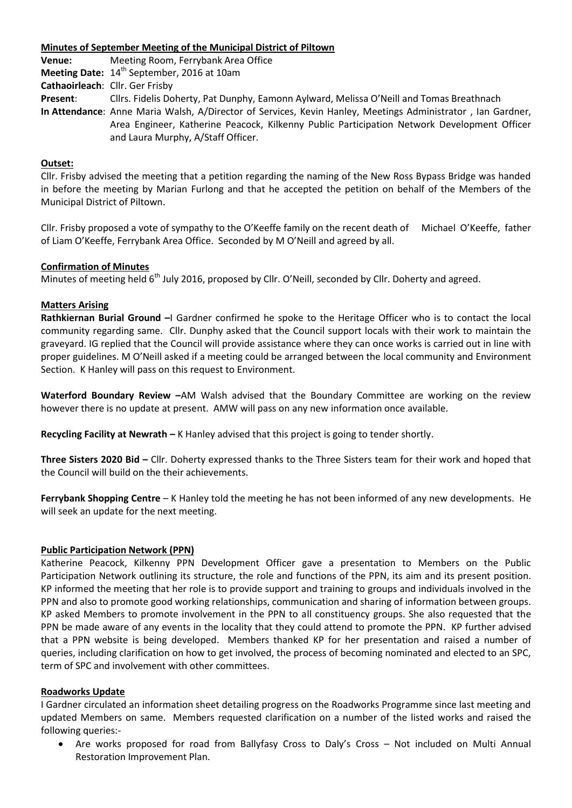#### **Minutes of September Meeting of the Municipal District of Piltown**

**Venue:** Meeting Room, Ferrybank Area Office **Meeting Date:** 14<sup>th</sup> September, 2016 at 10am

**Cathaoirleach**: Cllr. Ger Frisby

**Present**: Cllrs. Fidelis Doherty, Pat Dunphy, Eamonn Aylward, Melissa O'Neill and Tomas Breathnach

**In Attendance**: Anne Maria Walsh, A/Director of Services, Kevin Hanley, Meetings Administrator , Ian Gardner, Area Engineer, Katherine Peacock, Kilkenny Public Participation Network Development Officer and Laura Murphy, A/Staff Officer.

# **Outset:**

Cllr. Frisby advised the meeting that a petition regarding the naming of the New Ross Bypass Bridge was handed in before the meeting by Marian Furlong and that he accepted the petition on behalf of the Members of the Municipal District of Piltown.

Cllr. Frisby proposed a vote of sympathy to the O'Keeffe family on the recent death of Michael O'Keeffe, father of Liam O'Keeffe, Ferrybank Area Office. Seconded by M O'Neill and agreed by all.

## **Confirmation of Minutes**

Minutes of meeting held 6<sup>th</sup> July 2016, proposed by Cllr. O'Neill, seconded by Cllr. Doherty and agreed.

## **Matters Arising**

**Rathkiernan Burial Ground –**I Gardner confirmed he spoke to the Heritage Officer who is to contact the local community regarding same. Cllr. Dunphy asked that the Council support locals with their work to maintain the graveyard. IG replied that the Council will provide assistance where they can once works is carried out in line with proper guidelines. M O'Neill asked if a meeting could be arranged between the local community and Environment Section. K Hanley will pass on this request to Environment.

**Waterford Boundary Review –**AM Walsh advised that the Boundary Committee are working on the review however there is no update at present. AMW will pass on any new information once available.

**Recycling Facility at Newrath –** K Hanley advised that this project is going to tender shortly.

**Three Sisters 2020 Bid –** Cllr. Doherty expressed thanks to the Three Sisters team for their work and hoped that the Council will build on the their achievements.

**Ferrybank Shopping Centre** – K Hanley told the meeting he has not been informed of any new developments. He will seek an update for the next meeting.

#### **Public Participation Network (PPN)**

Katherine Peacock, Kilkenny PPN Development Officer gave a presentation to Members on the Public Participation Network outlining its structure, the role and functions of the PPN, its aim and its present position. KP informed the meeting that her role is to provide support and training to groups and individuals involved in the PPN and also to promote good working relationships, communication and sharing of information between groups. KP asked Members to promote involvement in the PPN to all constituency groups. She also requested that the PPN be made aware of any events in the locality that they could attend to promote the PPN. KP further advised that a PPN website is being developed. Members thanked KP for her presentation and raised a number of queries, including clarification on how to get involved, the process of becoming nominated and elected to an SPC, term of SPC and involvement with other committees.

#### **Roadworks Update**

I Gardner circulated an information sheet detailing progress on the Roadworks Programme since last meeting and updated Members on same. Members requested clarification on a number of the listed works and raised the following queries:-

 Are works proposed for road from Ballyfasy Cross to Daly's Cross – Not included on Multi Annual Restoration Improvement Plan.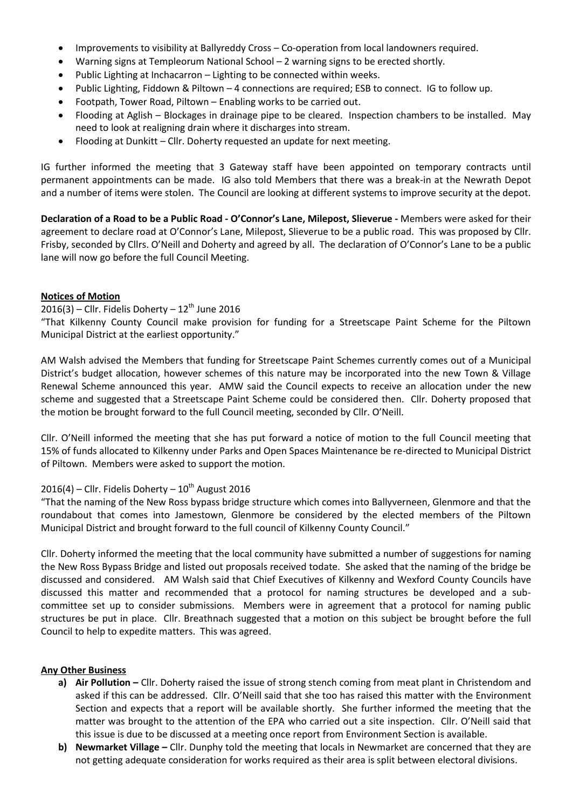- Improvements to visibility at Ballyreddy Cross Co-operation from local landowners required.
- Warning signs at Templeorum National School 2 warning signs to be erected shortly.
- Public Lighting at Inchacarron Lighting to be connected within weeks.
- Public Lighting, Fiddown & Piltown 4 connections are required; ESB to connect. IG to follow up.
- Footpath, Tower Road, Piltown Enabling works to be carried out.
- Flooding at Aglish Blockages in drainage pipe to be cleared. Inspection chambers to be installed. May need to look at realigning drain where it discharges into stream.
- Flooding at Dunkitt Cllr. Doherty requested an update for next meeting.

IG further informed the meeting that 3 Gateway staff have been appointed on temporary contracts until permanent appointments can be made. IG also told Members that there was a break-in at the Newrath Depot and a number of items were stolen. The Council are looking at different systems to improve security at the depot.

**Declaration of a Road to be a Public Road - O'Connor's Lane, Milepost, Slieverue -** Members were asked for their agreement to declare road at O'Connor's Lane, Milepost, Slieverue to be a public road. This was proposed by Cllr. Frisby, seconded by Cllrs. O'Neill and Doherty and agreed by all. The declaration of O'Connor's Lane to be a public lane will now go before the full Council Meeting.

#### **Notices of Motion**

#### $2016(3)$  – Cllr. Fidelis Doherty –  $12<sup>th</sup>$  June 2016

"That Kilkenny County Council make provision for funding for a Streetscape Paint Scheme for the Piltown Municipal District at the earliest opportunity."

AM Walsh advised the Members that funding for Streetscape Paint Schemes currently comes out of a Municipal District's budget allocation, however schemes of this nature may be incorporated into the new Town & Village Renewal Scheme announced this year. AMW said the Council expects to receive an allocation under the new scheme and suggested that a Streetscape Paint Scheme could be considered then. Cllr. Doherty proposed that the motion be brought forward to the full Council meeting, seconded by Cllr. O'Neill.

Cllr. O'Neill informed the meeting that she has put forward a notice of motion to the full Council meeting that 15% of funds allocated to Kilkenny under Parks and Open Spaces Maintenance be re-directed to Municipal District of Piltown. Members were asked to support the motion.

# $2016(4)$  – Cllr. Fidelis Doherty –  $10^{th}$  August 2016

"That the naming of the New Ross bypass bridge structure which comes into Ballyverneen, Glenmore and that the roundabout that comes into Jamestown, Glenmore be considered by the elected members of the Piltown Municipal District and brought forward to the full council of Kilkenny County Council."

Cllr. Doherty informed the meeting that the local community have submitted a number of suggestions for naming the New Ross Bypass Bridge and listed out proposals received todate. She asked that the naming of the bridge be discussed and considered. AM Walsh said that Chief Executives of Kilkenny and Wexford County Councils have discussed this matter and recommended that a protocol for naming structures be developed and a subcommittee set up to consider submissions. Members were in agreement that a protocol for naming public structures be put in place. Cllr. Breathnach suggested that a motion on this subject be brought before the full Council to help to expedite matters. This was agreed.

#### **Any Other Business**

- **a) Air Pollution –** Cllr. Doherty raised the issue of strong stench coming from meat plant in Christendom and asked if this can be addressed. Cllr. O'Neill said that she too has raised this matter with the Environment Section and expects that a report will be available shortly. She further informed the meeting that the matter was brought to the attention of the EPA who carried out a site inspection. Cllr. O'Neill said that this issue is due to be discussed at a meeting once report from Environment Section is available.
- **b) Newmarket Village –** Cllr. Dunphy told the meeting that locals in Newmarket are concerned that they are not getting adequate consideration for works required as their area is split between electoral divisions.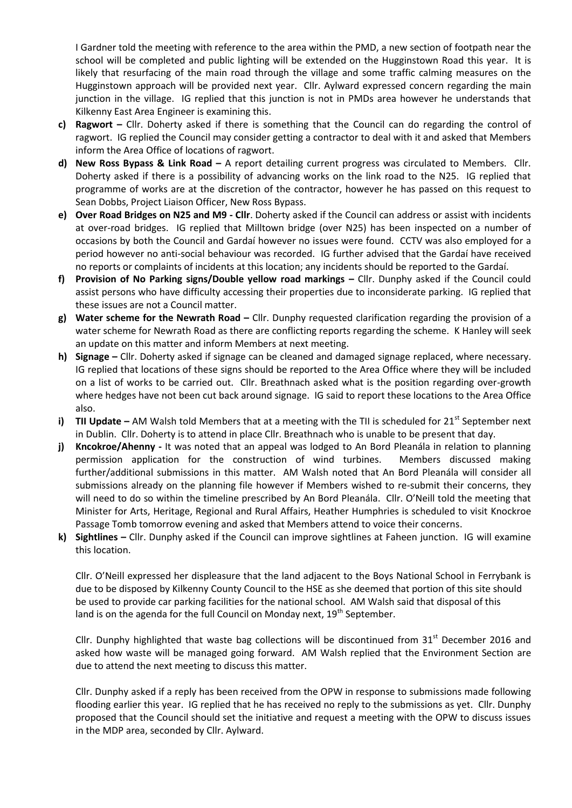I Gardner told the meeting with reference to the area within the PMD, a new section of footpath near the school will be completed and public lighting will be extended on the Hugginstown Road this year. It is likely that resurfacing of the main road through the village and some traffic calming measures on the Hugginstown approach will be provided next year. Cllr. Aylward expressed concern regarding the main junction in the village. IG replied that this junction is not in PMDs area however he understands that Kilkenny East Area Engineer is examining this.

- **c) Ragwort –** Cllr. Doherty asked if there is something that the Council can do regarding the control of ragwort. IG replied the Council may consider getting a contractor to deal with it and asked that Members inform the Area Office of locations of ragwort.
- **d) New Ross Bypass & Link Road –** A report detailing current progress was circulated to Members. Cllr. Doherty asked if there is a possibility of advancing works on the link road to the N25. IG replied that programme of works are at the discretion of the contractor, however he has passed on this request to Sean Dobbs, Project Liaison Officer, New Ross Bypass.
- **e) Over Road Bridges on N25 and M9 - Cllr**. Doherty asked if the Council can address or assist with incidents at over-road bridges. IG replied that Milltown bridge (over N25) has been inspected on a number of occasions by both the Council and Gardaí however no issues were found. CCTV was also employed for a period however no anti-social behaviour was recorded. IG further advised that the Gardaí have received no reports or complaints of incidents at this location; any incidents should be reported to the Gardaí.
- **f) Provision of No Parking signs/Double yellow road markings –** Cllr. Dunphy asked if the Council could assist persons who have difficulty accessing their properties due to inconsiderate parking. IG replied that these issues are not a Council matter.
- **g) Water scheme for the Newrath Road –** Cllr. Dunphy requested clarification regarding the provision of a water scheme for Newrath Road as there are conflicting reports regarding the scheme. K Hanley will seek an update on this matter and inform Members at next meeting.
- **h) Signage –** Cllr. Doherty asked if signage can be cleaned and damaged signage replaced, where necessary. IG replied that locations of these signs should be reported to the Area Office where they will be included on a list of works to be carried out. Cllr. Breathnach asked what is the position regarding over-growth where hedges have not been cut back around signage. IG said to report these locations to the Area Office also.
- **i) TII Update** AM Walsh told Members that at a meeting with the TII is scheduled for 21<sup>st</sup> September next in Dublin. Cllr. Doherty is to attend in place Cllr. Breathnach who is unable to be present that day.
- **j) Kncokroe/Ahenny -** It was noted that an appeal was lodged to An Bord Pleanála in relation to planning permission application for the construction of wind turbines. Members discussed making further/additional submissions in this matter. AM Walsh noted that An Bord Pleanála will consider all submissions already on the planning file however if Members wished to re-submit their concerns, they will need to do so within the timeline prescribed by An Bord Pleanála. Cllr. O'Neill told the meeting that Minister for Arts, Heritage, Regional and Rural Affairs, Heather Humphries is scheduled to visit Knockroe Passage Tomb tomorrow evening and asked that Members attend to voice their concerns.
- **k) Sightlines –** Cllr. Dunphy asked if the Council can improve sightlines at Faheen junction. IG will examine this location.

Cllr. O'Neill expressed her displeasure that the land adjacent to the Boys National School in Ferrybank is due to be disposed by Kilkenny County Council to the HSE as she deemed that portion of this site should be used to provide car parking facilities for the national school. AM Walsh said that disposal of this land is on the agenda for the full Council on Monday next,  $19<sup>th</sup>$  September.

Cllr. Dunphy highlighted that waste bag collections will be discontinued from  $31<sup>st</sup>$  December 2016 and asked how waste will be managed going forward. AM Walsh replied that the Environment Section are due to attend the next meeting to discuss this matter.

Cllr. Dunphy asked if a reply has been received from the OPW in response to submissions made following flooding earlier this year. IG replied that he has received no reply to the submissions as yet. Cllr. Dunphy proposed that the Council should set the initiative and request a meeting with the OPW to discuss issues in the MDP area, seconded by Cllr. Aylward.